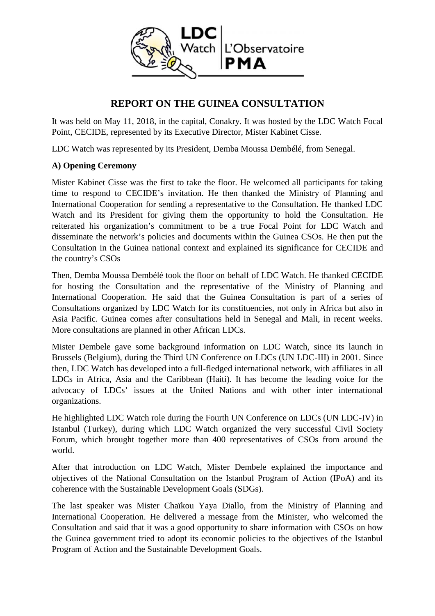

# **REPORT ON THE GUINEA CONSULTATION**

It was held on May 11, 2018, in the capital, Conakry. It was hosted by the LDC Watch Focal Point, CECIDE, represented by its Executive Director, Mister Kabinet Cisse.

LDC Watch was represented by its President, Demba Moussa Dembélé, from Senegal.

#### **A) Opening Ceremony**

Mister Kabinet Cisse was the first to take the floor. He welcomed all participants for taking time to respond to CECIDE's invitation. He then thanked the Ministry of Planning and International Cooperation for sending a representative to the Consultation. He thanked LDC Watch and its President for giving them the opportunity to hold the Consultation. He reiterated his organization's commitment to be a true Focal Point for LDC Watch and disseminate the network's policies and documents within the Guinea CSOs. He then put the Consultation in the Guinea national context and explained its significance for CECIDE and the country's CSOs

Then, Demba Moussa Dembélé took the floor on behalf of LDC Watch. He thanked CECIDE for hosting the Consultation and the representative of the Ministry of Planning and International Cooperation. He said that the Guinea Consultation is part of a series of Consultations organized by LDC Watch for its constituencies, not only in Africa but also in Asia Pacific. Guinea comes after consultations held in Senegal and Mali, in recent weeks. More consultations are planned in other African LDCs.

Mister Dembele gave some background information on LDC Watch, since its launch in Brussels (Belgium), during the Third UN Conference on LDCs (UN LDC-III) in 2001. Since then, LDC Watch has developed into a full-fledged international network, with affiliates in all LDCs in Africa, Asia and the Caribbean (Haiti). It has become the leading voice for the advocacy of LDCs' issues at the United Nations and with other inter international organizations.

He highlighted LDC Watch role during the Fourth UN Conference on LDCs (UN LDC-IV) in Istanbul (Turkey), during which LDC Watch organized the very successful Civil Society Forum, which brought together more than 400 representatives of CSOs from around the world.

After that introduction on LDC Watch, Mister Dembele explained the importance and objectives of the National Consultation on the Istanbul Program of Action (IPoA) and its coherence with the Sustainable Development Goals (SDGs).

The last speaker was Mister Chaïkou Yaya Diallo, from the Ministry of Planning and International Cooperation. He delivered a message from the Minister, who welcomed the Consultation and said that it was a good opportunity to share information with CSOs on how the Guinea government tried to adopt its economic policies to the objectives of the Istanbul Program of Action and the Sustainable Development Goals.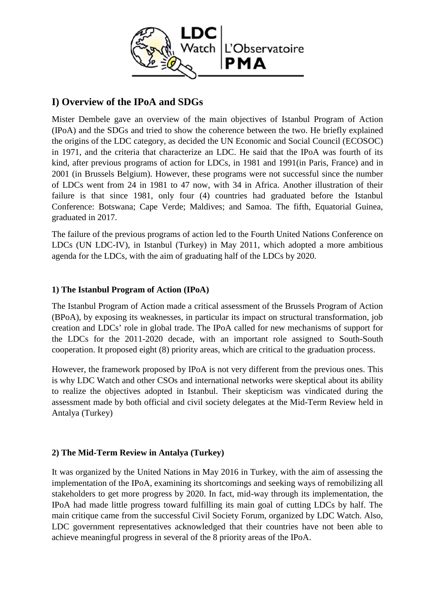

## **I) Overview of the IPoA and SDGs**

Mister Dembele gave an overview of the main objectives of Istanbul Program of Action (IPoA) and the SDGs and tried to show the coherence between the two. He briefly explained the origins of the LDC category, as decided the UN Economic and Social Council (ECOSOC) in 1971, and the criteria that characterize an LDC. He said that the IPoA was fourth of its kind, after previous programs of action for LDCs, in 1981 and 1991(in Paris, France) and in 2001 (in Brussels Belgium). However, these programs were not successful since the number of LDCs went from 24 in 1981 to 47 now, with 34 in Africa. Another illustration of their failure is that since 1981, only four (4) countries had graduated before the Istanbul Conference: Botswana; Cape Verde; Maldives; and Samoa. The fifth, Equatorial Guinea, graduated in 2017.

The failure of the previous programs of action led to the Fourth United Nations Conference on LDCs (UN LDC-IV), in Istanbul (Turkey) in May 2011, which adopted a more ambitious agenda for the LDCs, with the aim of graduating half of the LDCs by 2020.

### **1) The Istanbul Program of Action (IPoA)**

The Istanbul Program of Action made a critical assessment of the Brussels Program of Action (BPoA), by exposing its weaknesses, in particular its impact on structural transformation, job creation and LDCs' role in global trade. The IPoA called for new mechanisms of support for the LDCs for the 2011-2020 decade, with an important role assigned to South-South cooperation. It proposed eight (8) priority areas, which are critical to the graduation process.

However, the framework proposed by IPoA is not very different from the previous ones. This is why LDC Watch and other CSOs and international networks were skeptical about its ability to realize the objectives adopted in Istanbul. Their skepticism was vindicated during the assessment made by both official and civil society delegates at the Mid-Term Review held in Antalya (Turkey)

## **2) The Mid-Term Review in Antalya (Turkey)**

It was organized by the United Nations in May 2016 in Turkey, with the aim of assessing the implementation of the IPoA, examining its shortcomings and seeking ways of remobilizing all stakeholders to get more progress by 2020. In fact, mid-way through its implementation, the IPoA had made little progress toward fulfilling its main goal of cutting LDCs by half. The main critique came from the successful Civil Society Forum, organized by LDC Watch. Also, LDC government representatives acknowledged that their countries have not been able to achieve meaningful progress in several of the 8 priority areas of the IPoA.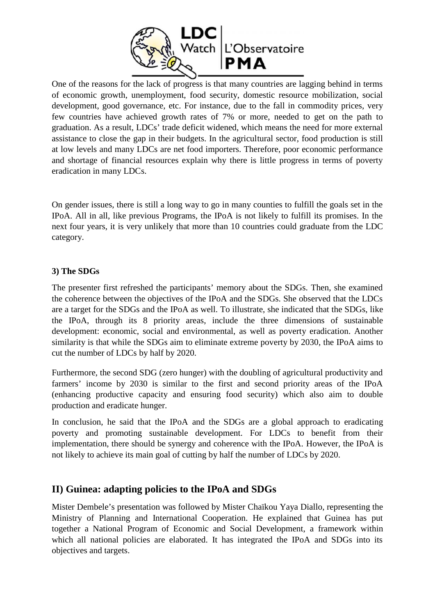

One of the reasons for the lack of progress is that many countries are lagging behind in terms of economic growth, unemployment, food security, domestic resource mobilization, social development, good governance, etc. For instance, due to the fall in commodity prices, very few countries have achieved growth rates of 7% or more, needed to get on the path to graduation. As a result, LDCs' trade deficit widened, which means the need for more external assistance to close the gap in their budgets. In the agricultural sector, food production is still at low levels and many LDCs are net food importers. Therefore, poor economic performance and shortage of financial resources explain why there is little progress in terms of poverty eradication in many LDCs.

On gender issues, there is still a long way to go in many counties to fulfill the goals set in the IPoA. All in all, like previous Programs, the IPoA is not likely to fulfill its promises. In the next four years, it is very unlikely that more than 10 countries could graduate from the LDC category.

### **3) The SDGs**

The presenter first refreshed the participants' memory about the SDGs. Then, she examined the coherence between the objectives of the IPoA and the SDGs. She observed that the LDCs are a target for the SDGs and the IPoA as well. To illustrate, she indicated that the SDGs, like the IPoA, through its 8 priority areas, include the three dimensions of sustainable development: economic, social and environmental, as well as poverty eradication. Another similarity is that while the SDGs aim to eliminate extreme poverty by 2030, the IPoA aims to cut the number of LDCs by half by 2020.

Furthermore, the second SDG (zero hunger) with the doubling of agricultural productivity and farmers' income by 2030 is similar to the first and second priority areas of the IPoA (enhancing productive capacity and ensuring food security) which also aim to double production and eradicate hunger.

In conclusion, he said that the IPoA and the SDGs are a global approach to eradicating poverty and promoting sustainable development. For LDCs to benefit from their implementation, there should be synergy and coherence with the IPoA. However, the IPoA is not likely to achieve its main goal of cutting by half the number of LDCs by 2020.

## **II) Guinea: adapting policies to the IPoA and SDGs**

Mister Dembele's presentation was followed by Mister Chaïkou Yaya Diallo, representing the Ministry of Planning and International Cooperation. He explained that Guinea has put together a National Program of Economic and Social Development, a framework within which all national policies are elaborated. It has integrated the IPoA and SDGs into its objectives and targets.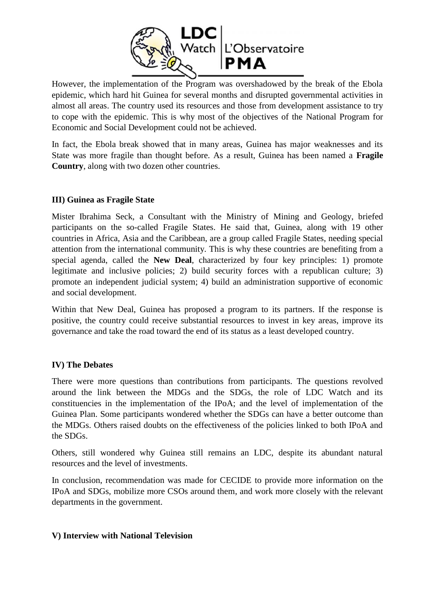

However, the implementation of the Program was overshadowed by the break of the Ebola epidemic, which hard hit Guinea for several months and disrupted governmental activities in almost all areas. The country used its resources and those from development assistance to try to cope with the epidemic. This is why most of the objectives of the National Program for Economic and Social Development could not be achieved.

In fact, the Ebola break showed that in many areas, Guinea has major weaknesses and its State was more fragile than thought before. As a result, Guinea has been named a **Fragile Country**, along with two dozen other countries.

### **III) Guinea as Fragile State**

Mister Ibrahima Seck, a Consultant with the Ministry of Mining and Geology, briefed participants on the so-called Fragile States. He said that, Guinea, along with 19 other countries in Africa, Asia and the Caribbean, are a group called Fragile States, needing special attention from the international community. This is why these countries are benefiting from a special agenda, called the **New Deal**, characterized by four key principles: 1) promote legitimate and inclusive policies; 2) build security forces with a republican culture; 3) promote an independent judicial system; 4) build an administration supportive of economic and social development.

Within that New Deal, Guinea has proposed a program to its partners. If the response is positive, the country could receive substantial resources to invest in key areas, improve its governance and take the road toward the end of its status as a least developed country.

#### **IV) The Debates**

There were more questions than contributions from participants. The questions revolved around the link between the MDGs and the SDGs, the role of LDC Watch and its constituencies in the implementation of the IPoA; and the level of implementation of the Guinea Plan. Some participants wondered whether the SDGs can have a better outcome than the MDGs. Others raised doubts on the effectiveness of the policies linked to both IPoA and the SDGs.

Others, still wondered why Guinea still remains an LDC, despite its abundant natural resources and the level of investments.

In conclusion, recommendation was made for CECIDE to provide more information on the IPoA and SDGs, mobilize more CSOs around them, and work more closely with the relevant departments in the government.

#### **V) Interview with National Television**